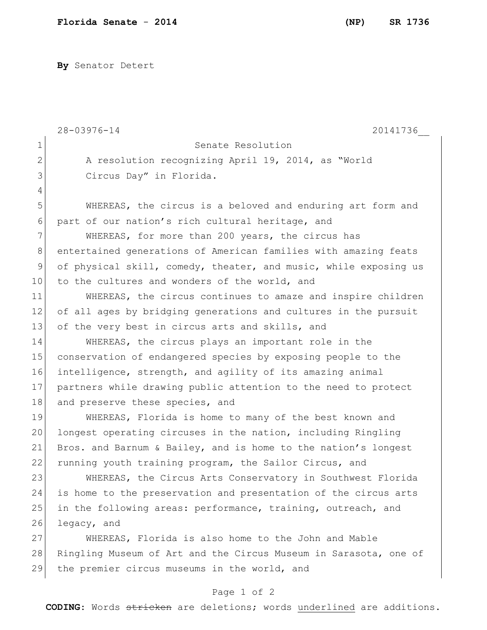**By** Senator Detert

|              | $28 - 03976 - 14$<br>20141736                                    |
|--------------|------------------------------------------------------------------|
| 1            | Senate Resolution                                                |
| $\mathbf{2}$ | A resolution recognizing April 19, 2014, as "World               |
| 3            | Circus Day" in Florida.                                          |
| 4            |                                                                  |
| 5            | WHEREAS, the circus is a beloved and enduring art form and       |
| 6            | part of our nation's rich cultural heritage, and                 |
| 7            | WHEREAS, for more than 200 years, the circus has                 |
| 8            | entertained generations of American families with amazing feats  |
| $\mathsf 9$  | of physical skill, comedy, theater, and music, while exposing us |
| 10           | to the cultures and wonders of the world, and                    |
| 11           | WHEREAS, the circus continues to amaze and inspire children      |
| 12           | of all ages by bridging generations and cultures in the pursuit  |
| 13           | of the very best in circus arts and skills, and                  |
| 14           | WHEREAS, the circus plays an important role in the               |
| 15           | conservation of endangered species by exposing people to the     |
| 16           | intelligence, strength, and agility of its amazing animal        |
| 17           | partners while drawing public attention to the need to protect   |
| 18           | and preserve these species, and                                  |
| 19           | WHEREAS, Florida is home to many of the best known and           |
| 20           | longest operating circuses in the nation, including Ringling     |
| 21           | Bros. and Barnum & Bailey, and is home to the nation's longest   |
| 22           | running youth training program, the Sailor Circus, and           |
| 23           | WHEREAS, the Circus Arts Conservatory in Southwest Florida       |
| 24           | is home to the preservation and presentation of the circus arts  |
| 25           | in the following areas: performance, training, outreach, and     |
| 26           | legacy, and                                                      |
| 27           | WHEREAS, Florida is also home to the John and Mable              |
| 28           | Ringling Museum of Art and the Circus Museum in Sarasota, one of |
| 29           | the premier circus museums in the world, and                     |
|              | Page 1 of 2                                                      |

**CODING**: Words stricken are deletions; words underlined are additions.